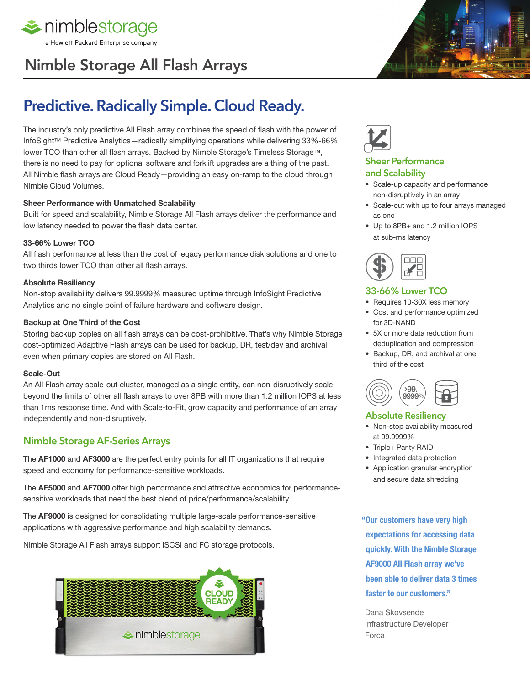

# Nimble Storage All Flash Arrays



The industry's only predictive All Flash array combines the speed of flash with the power of InfoSight™ Predictive Analytics—radically simplifying operations while delivering 33%-66% lower TCO than other all flash arrays. Backed by Nimble Storage's Timeless Storage™, there is no need to pay for optional software and forklift upgrades are a thing of the past. All Nimble flash arrays are Cloud Ready—providing an easy on-ramp to the cloud through Nimble Cloud Volumes.

#### **Sheer Performance with Unmatched Scalability**

Built for speed and scalability, Nimble Storage All Flash arrays deliver the performance and low latency needed to power the flash data center.

#### **33-66% Lower TCO**

All flash performance at less than the cost of legacy performance disk solutions and one to two thirds lower TCO than other all flash arrays.

#### **Absolute Resiliency**

Non-stop availability delivers 99.9999% measured uptime through InfoSight Predictive Analytics and no single point of failure hardware and software design.

#### **Backup at One Third of the Cost**

Storing backup copies on all flash arrays can be cost-prohibitive. That's why Nimble Storage cost-optimized Adaptive Flash arrays can be used for backup, DR, test/dev and archival even when primary copies are stored on All Flash.

#### **Scale-Out**

An All Flash array scale-out cluster, managed as a single entity, can non-disruptively scale beyond the limits of other all flash arrays to over 8PB with more than 1.2 million IOPS at less than 1ms response time. And with Scale-to-Fit, grow capacity and performance of an array independently and non-disruptively.

### Nimble Storage AF-Series Arrays

The **AF1000** and **AF3000** are the perfect entry points for all IT organizations that require speed and economy for performance-sensitive workloads.

The **AF5000** and **AF7000** offer high performance and attractive economics for performancesensitive workloads that need the best blend of price/performance/scalability.

The **AF9000** is designed for consolidating multiple large-scale performance-sensitive applications with aggressive performance and high scalability demands.

Nimble Storage All Flash arrays support iSCSI and FC storage protocols.





#### Sheer Performance and Scalability

- Scale-up capacity and performance non-disruptively in an array
- Scale-out with up to four arrays managed as one
- Up to 8PB+ and 1.2 million IOPS at sub-ms latency



#### 33-66% Lower TCO

- Requires 10-30X less memory
- Cost and performance optimized for 3D-NAND
- 5X or more data reduction from deduplication and compression
- Backup, DR, and archival at one third of the cost



#### Absolute Resiliency

- Non-stop availability measured at 99.9999%
- Triple+ Parity RAID
- Integrated data protection
- Application granular encryption and secure data shredding

**"Our customers have very high expectations for accessing data quickly. With the Nimble Storage AF9000 All Flash array we've been able to deliver data 3 times faster to our customers."** 

Dana Skovsende Infrastructure Developer Forca